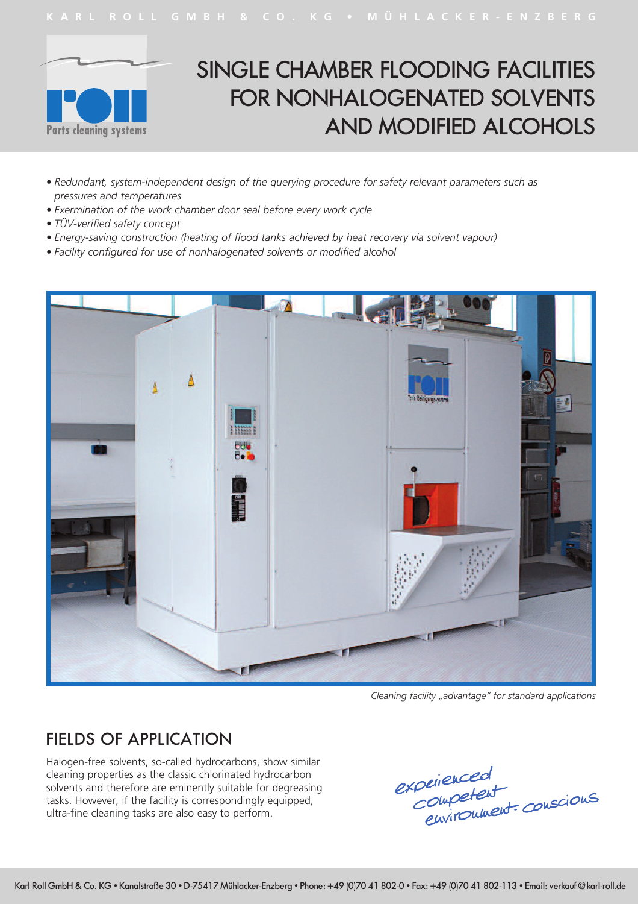



# SINGLE CHAMBER FLOODING FACILITIES FOR NONHALOGENATED SOLVENTS AND MODIFIED ALCOHOLS

- *• Redundant, system-independent design of the querying procedure for safety relevant parameters such as pressures and temperatures*
- *• Exermination of the work chamber door seal before every work cycle*
- *• TÜV-verified safety concept*
- *• Energy-saving construction (heating of flood tanks achieved by heat recovery via solvent vapour)*
- *• Facility configured for use of nonhalogenated solvents or modified alcohol*



*Cleaning facility "advantage" for standard applications*

#### FIELDS OF APPLICATION

Halogen-free solvents, so-called hydrocarbons, show similar cleaning properties as the classic chlorinated hydrocarbon solvents and therefore are eminently suitable for degreasing tasks. However, if the facility is correspondingly equipped, ultra-fine cleaning tasks are also easy to perform.

experienced<br>Competent<br>Environment conscious